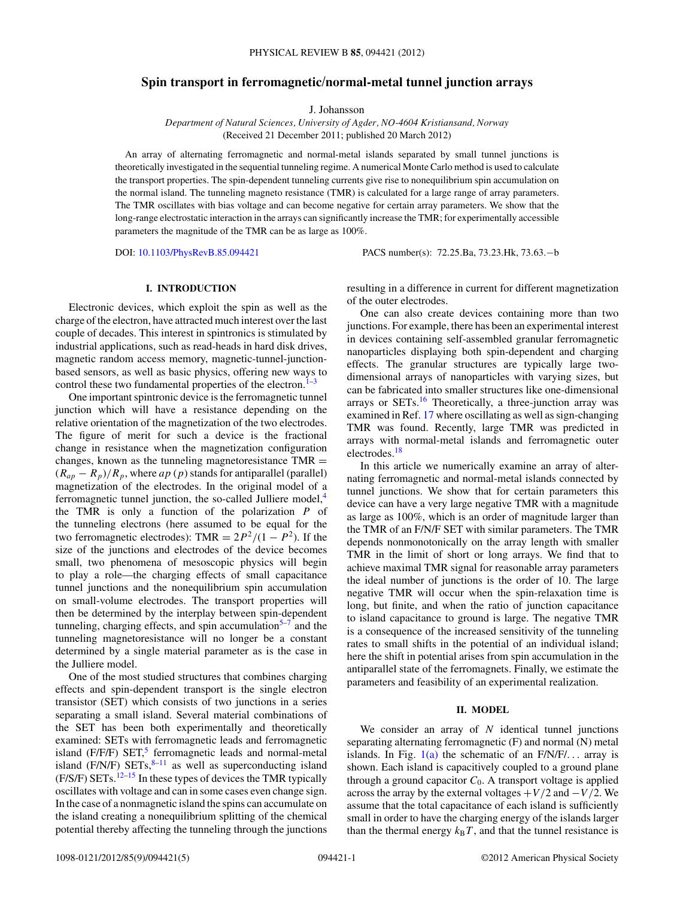# **Spin transport in ferromagnetic/normal-metal tunnel junction arrays**

J. Johansson

*Department of Natural Sciences, University of Agder, NO-4604 Kristiansand, Norway* (Received 21 December 2011; published 20 March 2012)

An array of alternating ferromagnetic and normal-metal islands separated by small tunnel junctions is theoretically investigated in the sequential tunneling regime. A numerical Monte Carlo method is used to calculate the transport properties. The spin-dependent tunneling currents give rise to nonequilibrium spin accumulation on the normal island. The tunneling magneto resistance (TMR) is calculated for a large range of array parameters. The TMR oscillates with bias voltage and can become negative for certain array parameters. We show that the long-range electrostatic interaction in the arrays can significantly increase the TMR; for experimentally accessible parameters the magnitude of the TMR can be as large as 100%.

DOI: [10.1103/PhysRevB.85.094421](http://dx.doi.org/10.1103/PhysRevB.85.094421) PACS number(s): 72*.*25*.*Ba, 73*.*23*.*Hk, 73*.*63*.*−b

## **I. INTRODUCTION**

Electronic devices, which exploit the spin as well as the charge of the electron, have attracted much interest over the last couple of decades. This interest in spintronics is stimulated by industrial applications, such as read-heads in hard disk drives, magnetic random access memory, magnetic-tunnel-junctionbased sensors, as well as basic physics, offering new ways to control these two fundamental properties of the electron. $1-3$ 

One important spintronic device is the ferromagnetic tunnel junction which will have a resistance depending on the relative orientation of the magnetization of the two electrodes. The figure of merit for such a device is the fractional change in resistance when the magnetization configuration changes, known as the tunneling magnetoresistance  $TMR =$  $(R_{ap} - R_p)/R_p$ , where *ap* (*p*) stands for antiparallel (parallel) magnetization of the electrodes. In the original model of a ferromagnetic tunnel junction, the so-called Julliere model, $4$ the TMR is only a function of the polarization *P* of the tunneling electrons (here assumed to be equal for the two ferromagnetic electrodes): TMR =  $2P^2/(1 - P^2)$ . If the size of the junctions and electrodes of the device becomes small, two phenomena of mesoscopic physics will begin to play a role—the charging effects of small capacitance tunnel junctions and the nonequilibrium spin accumulation on small-volume electrodes. The transport properties will then be determined by the interplay between spin-dependent tunneling, charging effects, and spin accumulation $5-7$  and the tunneling magnetoresistance will no longer be a constant determined by a single material parameter as is the case in the Julliere model.

One of the most studied structures that combines charging effects and spin-dependent transport is the single electron transistor (SET) which consists of two junctions in a series separating a small island. Several material combinations of the SET has been both experimentally and theoretically examined: SETs with ferromagnetic leads and ferromagnetic island (F/F/F) SET,<sup>[5](#page-4-0)</sup> ferromagnetic leads and normal-metal island (F/N/F)  $SETs$ ,  $8-11$  as well as superconducting island  $(F/S/F)$  SETs.<sup>[12–15](#page-4-0)</sup> In these types of devices the TMR typically oscillates with voltage and can in some cases even change sign. In the case of a nonmagnetic island the spins can accumulate on the island creating a nonequilibrium splitting of the chemical potential thereby affecting the tunneling through the junctions resulting in a difference in current for different magnetization of the outer electrodes.

One can also create devices containing more than two junctions. For example, there has been an experimental interest in devices containing self-assembled granular ferromagnetic nanoparticles displaying both spin-dependent and charging effects. The granular structures are typically large twodimensional arrays of nanoparticles with varying sizes, but can be fabricated into smaller structures like one-dimensional arrays or  $SETs<sup>16</sup>$  $SETs<sup>16</sup>$  $SETs<sup>16</sup>$ . Theoretically, a three-junction array was examined in Ref. [17](#page-4-0) where oscillating as well as sign-changing TMR was found. Recently, large TMR was predicted in arrays with normal-metal islands and ferromagnetic outer electrodes[.18](#page-4-0)

In this article we numerically examine an array of alternating ferromagnetic and normal-metal islands connected by tunnel junctions. We show that for certain parameters this device can have a very large negative TMR with a magnitude as large as 100%, which is an order of magnitude larger than the TMR of an F/N/F SET with similar parameters. The TMR depends nonmonotonically on the array length with smaller TMR in the limit of short or long arrays. We find that to achieve maximal TMR signal for reasonable array parameters the ideal number of junctions is the order of 10. The large negative TMR will occur when the spin-relaxation time is long, but finite, and when the ratio of junction capacitance to island capacitance to ground is large. The negative TMR is a consequence of the increased sensitivity of the tunneling rates to small shifts in the potential of an individual island; here the shift in potential arises from spin accumulation in the antiparallel state of the ferromagnets. Finally, we estimate the parameters and feasibility of an experimental realization.

### **II. MODEL**

We consider an array of *N* identical tunnel junctions separating alternating ferromagnetic (F) and normal (N) metal islands. In Fig. [1\(a\)](#page-1-0) the schematic of an F/N/F/*...* array is shown. Each island is capacitively coupled to a ground plane through a ground capacitor  $C_0$ . A transport voltage is applied across the array by the external voltages  $+V/2$  and  $-V/2$ . We assume that the total capacitance of each island is sufficiently small in order to have the charging energy of the islands larger than the thermal energy  $k_B T$ , and that the tunnel resistance is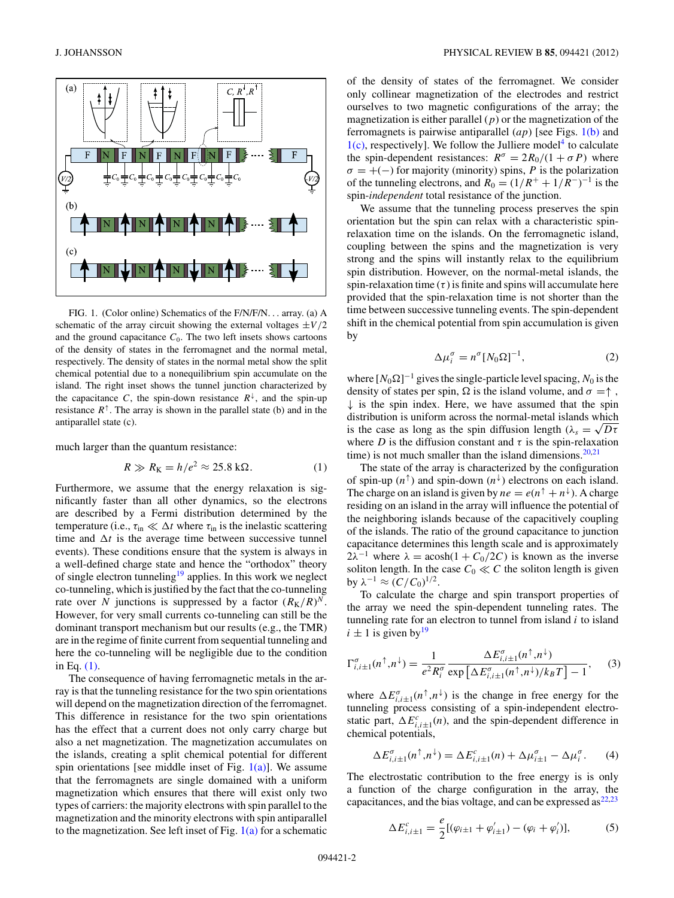<span id="page-1-0"></span>

FIG. 1. (Color online) Schematics of the F/N/F/N*...* array. (a) A schematic of the array circuit showing the external voltages  $\pm V/2$ and the ground capacitance  $C_0$ . The two left insets shows cartoons of the density of states in the ferromagnet and the normal metal, respectively. The density of states in the normal metal show the split chemical potential due to a nonequilibrium spin accumulate on the island. The right inset shows the tunnel junction characterized by the capacitance *C*, the spin-down resistance  $R^{\downarrow}$ , and the spin-up resistance  $R^{\uparrow}$ . The array is shown in the parallel state (b) and in the antiparallel state (c).

much larger than the quantum resistance:

$$
R \gg R_{\rm K} = h/e^2 \approx 25.8 \,\text{k}\Omega. \tag{1}
$$

Furthermore, we assume that the energy relaxation is significantly faster than all other dynamics, so the electrons are described by a Fermi distribution determined by the temperature (i.e.,  $\tau_{\text{in}} \ll \Delta t$  where  $\tau_{\text{in}}$  is the inelastic scattering time and  $\Delta t$  is the average time between successive tunnel events). These conditions ensure that the system is always in a well-defined charge state and hence the "orthodox" theory of single electron tunneling<sup>19</sup> applies. In this work we neglect co-tunneling, which is justified by the fact that the co-tunneling rate over *N* junctions is suppressed by a factor  $(R_K/R)^N$ . However, for very small currents co-tunneling can still be the dominant transport mechanism but our results (e.g., the TMR) are in the regime of finite current from sequential tunneling and here the co-tunneling will be negligible due to the condition in Eq. (1).

The consequence of having ferromagnetic metals in the array is that the tunneling resistance for the two spin orientations will depend on the magnetization direction of the ferromagnet. This difference in resistance for the two spin orientations has the effect that a current does not only carry charge but also a net magnetization. The magnetization accumulates on the islands, creating a split chemical potential for different spin orientations [see middle inset of Fig.  $1(a)$ ]. We assume that the ferromagnets are single domained with a uniform magnetization which ensures that there will exist only two types of carriers: the majority electrons with spin parallel to the magnetization and the minority electrons with spin antiparallel to the magnetization. See left inset of Fig.  $1(a)$  for a schematic

of the density of states of the ferromagnet. We consider only collinear magnetization of the electrodes and restrict ourselves to two magnetic configurations of the array; the magnetization is either parallel  $(p)$  or the magnetization of the ferromagnets is pairwise antiparallel (*ap*) [see Figs. 1(b) and  $1(c)$ , respectively]. We follow the Julliere model<sup>[4](#page-4-0)</sup> to calculate the spin-dependent resistances:  $R^{\sigma} = 2R_0/(1 + \sigma P)$  where  $\sigma = +(-)$  for majority (minority) spins, *P* is the polarization of the tunneling electrons, and  $R_0 = (1/R^+ + 1/R^-)^{-1}$  is the spin-*independent* total resistance of the junction.

We assume that the tunneling process preserves the spin orientation but the spin can relax with a characteristic spinrelaxation time on the islands. On the ferromagnetic island, coupling between the spins and the magnetization is very strong and the spins will instantly relax to the equilibrium spin distribution. However, on the normal-metal islands, the spin-relaxation time  $(\tau)$  is finite and spins will accumulate here provided that the spin-relaxation time is not shorter than the time between successive tunneling events. The spin-dependent shift in the chemical potential from spin accumulation is given by

$$
\Delta \mu_i^{\sigma} = n^{\sigma} [N_0 \Omega]^{-1}, \qquad (2)
$$

where  $[N_0\Omega]^{-1}$  gives the single-particle level spacing,  $N_0$  is the density of states per spin,  $\Omega$  is the island volume, and  $\sigma = \uparrow$ ,  $\downarrow$  is the spin index. Here, we have assumed that the spin distribution is uniform across the normal-metal islands which is the case as long as the spin diffusion length ( $\lambda_s = \sqrt{D\tau}$ where *D* is the diffusion constant and  $\tau$  is the spin-relaxation time) is not much smaller than the island dimensions. $20,21$ 

The state of the array is characterized by the configuration of spin-up  $(n^{\uparrow})$  and spin-down  $(n^{\downarrow})$  electrons on each island. The charge on an island is given by  $ne = e(n^{\uparrow} + n^{\downarrow})$ . A charge residing on an island in the array will influence the potential of the neighboring islands because of the capacitively coupling of the islands. The ratio of the ground capacitance to junction capacitance determines this length scale and is approximately  $2\lambda^{-1}$  where  $\lambda = \text{acosh}(1 + C_0/2C)$  is known as the inverse soliton length. In the case  $C_0 \ll C$  the soliton length is given **by**  $λ^{-1} ≈ (C/C_0)^{1/2}$ .

To calculate the charge and spin transport properties of the array we need the spin-dependent tunneling rates. The tunneling rate for an electron to tunnel from island *i* to island  $i \pm 1$  is given by  $19$ 

$$
\Gamma_{i,i\pm 1}^{\sigma}(n^{\uparrow}, n^{\downarrow}) = \frac{1}{e^2 R_i^{\sigma}} \frac{\Delta E_{i,i\pm 1}^{\sigma}(n^{\uparrow}, n^{\downarrow})}{\exp\left[\Delta E_{i,i\pm 1}^{\sigma}(n^{\uparrow}, n^{\downarrow})/k_B T\right] - 1},\tag{3}
$$

where  $\Delta E^{\sigma}_{i,i\pm1}(n^{\uparrow}, n^{\downarrow})$  is the change in free energy for the tunneling process consisting of a spin-independent electrostatic part,  $\Delta E_{i,i\pm1}^c(n)$ , and the spin-dependent difference in chemical potentials,

$$
\Delta E_{i,i\pm 1}^{\sigma}(n^{\uparrow}, n^{\downarrow}) = \Delta E_{i,i\pm 1}^c(n) + \Delta \mu_{i\pm 1}^{\sigma} - \Delta \mu_i^{\sigma}.
$$
 (4)

The electrostatic contribution to the free energy is is only a function of the charge configuration in the array, the capacitances, and the bias voltage, and can be expressed  $as^{22,23}$ 

$$
\Delta E_{i,i\pm 1}^c = \frac{e}{2} [(\varphi_{i\pm 1} + \varphi'_{i\pm 1}) - (\varphi_i + \varphi'_i)],\tag{5}
$$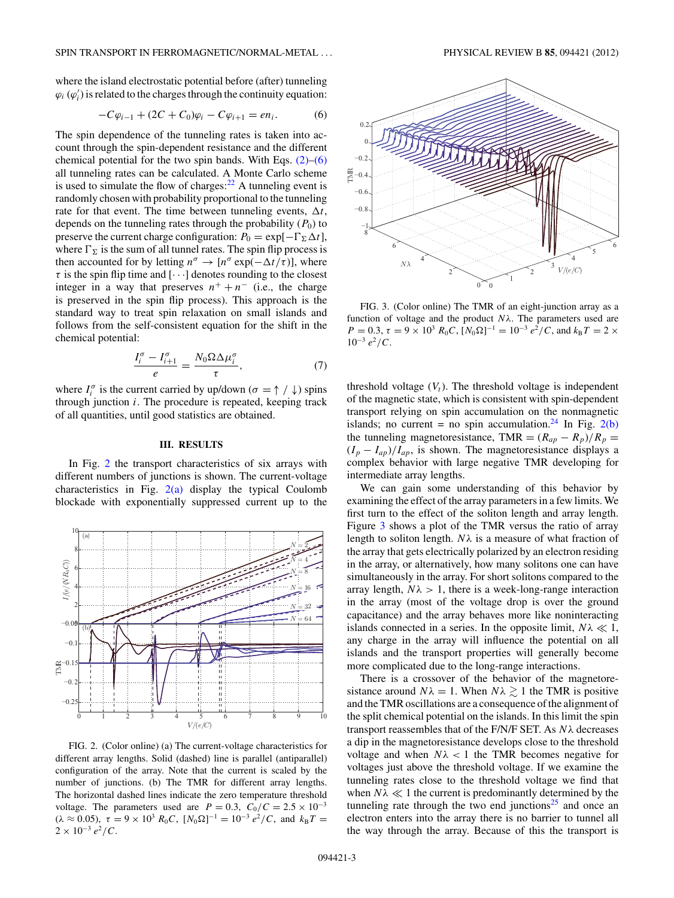<span id="page-2-0"></span>where the island electrostatic potential before (after) tunneling  $\varphi_i$  ( $\varphi'_i$ ) is related to the charges through the continuity equation:

$$
-C\varphi_{i-1} + (2C + C_0)\varphi_i - C\varphi_{i+1} = en_i.
$$
 (6)

The spin dependence of the tunneling rates is taken into account through the spin-dependent resistance and the different chemical potential for the two spin bands. With Eqs.  $(2)$ – $(6)$ all tunneling rates can be calculated. A Monte Carlo scheme is used to simulate the flow of charges: $22$  A tunneling event is randomly chosen with probability proportional to the tunneling rate for that event. The time between tunneling events,  $\Delta t$ , depends on the tunneling rates through the probability  $(P_0)$  to preserve the current charge configuration:  $P_0 = \exp[-\Gamma_{\Sigma} \Delta t]$ , where  $\Gamma_{\Sigma}$  is the sum of all tunnel rates. The spin flip process is then accounted for by letting  $n^{\sigma} \rightarrow [n^{\sigma} \exp(-\Delta t/\tau)]$ , where  $\tau$  is the spin flip time and  $[\cdots]$  denotes rounding to the closest integer in a way that preserves  $n^+ + n^-$  (i.e., the charge is preserved in the spin flip process). This approach is the standard way to treat spin relaxation on small islands and follows from the self-consistent equation for the shift in the chemical potential:

$$
\frac{I_i^{\sigma} - I_{i+1}^{\sigma}}{e} = \frac{N_0 \Omega \Delta \mu_i^{\sigma}}{\tau},\tag{7}
$$

where  $I_i^{\sigma}$  is the current carried by up/down ( $\sigma = \uparrow / \downarrow$ ) spins through junction *i*. The procedure is repeated, keeping track of all quantities, until good statistics are obtained.

#### **III. RESULTS**

In Fig. 2 the transport characteristics of six arrays with different numbers of junctions is shown. The current-voltage characteristics in Fig. 2(a) display the typical Coulomb blockade with exponentially suppressed current up to the



FIG. 2. (Color online) (a) The current-voltage characteristics for different array lengths. Solid (dashed) line is parallel (antiparallel) configuration of the array. Note that the current is scaled by the number of junctions. (b) The TMR for different array lengths. The horizontal dashed lines indicate the zero temperature threshold voltage. The parameters used are  $P = 0.3$ ,  $C_0/C = 2.5 \times 10^{-3}$  $(\lambda \approx 0.05)$ ,  $\tau = 9 \times 10^3$   $R_0C$ ,  $[N_0\Omega]^{-1} = 10^{-3} e^2/C$ , and  $k_B T =$  $2 \times 10^{-3} e^2 / C$ .



FIG. 3. (Color online) The TMR of an eight-junction array as a function of voltage and the product *Nλ*. The parameters used are  $P = 0.3$ ,  $\tau = 9 \times 10^3$   $R_0C$ ,  $[N_0\Omega]^{-1} = 10^{-3} e^2 / C$ , and  $k_B T = 2 \times 10^3$  $10^{-3} e^2 / C$ .

threshold voltage  $(V_t)$ . The threshold voltage is independent of the magnetic state, which is consistent with spin-dependent transport relying on spin accumulation on the nonmagnetic islands; no current = no spin accumulation.<sup>[24](#page-4-0)</sup> In Fig. 2(b) the tunneling magnetoresistance, TMR =  $(R_{ap} - R_p)/R_p$  =  $(I_p - I_{ap})/I_{ap}$ , is shown. The magnetoresistance displays a complex behavior with large negative TMR developing for intermediate array lengths.

We can gain some understanding of this behavior by examining the effect of the array parameters in a few limits. We first turn to the effect of the soliton length and array length. Figure 3 shows a plot of the TMR versus the ratio of array length to soliton length.  $N\lambda$  is a measure of what fraction of the array that gets electrically polarized by an electron residing in the array, or alternatively, how many solitons one can have simultaneously in the array. For short solitons compared to the array length,  $N\lambda > 1$ , there is a week-long-range interaction in the array (most of the voltage drop is over the ground capacitance) and the array behaves more like noninteracting islands connected in a series. In the opposite limit,  $N\lambda \ll 1$ , any charge in the array will influence the potential on all islands and the transport properties will generally become more complicated due to the long-range interactions.

There is a crossover of the behavior of the magnetoresistance around  $N\lambda = 1$ . When  $N\lambda \gtrsim 1$  the TMR is positive and the TMR oscillations are a consequence of the alignment of the split chemical potential on the islands. In this limit the spin transport reassembles that of the F/N/F SET. As *Nλ* decreases a dip in the magnetoresistance develops close to the threshold voltage and when  $N\lambda < 1$  the TMR becomes negative for voltages just above the threshold voltage. If we examine the tunneling rates close to the threshold voltage we find that when  $N\lambda \ll 1$  the current is predominantly determined by the tunneling rate through the two end junctions<sup>25</sup> and once an electron enters into the array there is no barrier to tunnel all the way through the array. Because of this the transport is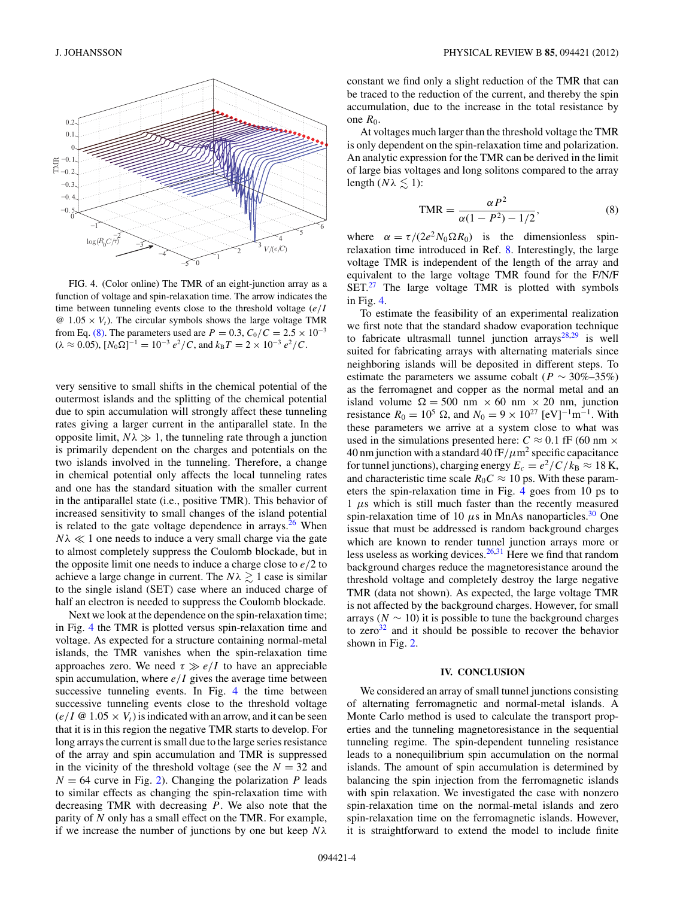

FIG. 4. (Color online) The TMR of an eight-junction array as a function of voltage and spin-relaxation time. The arrow indicates the time between tunneling events close to the threshold voltage (*e/I*  $\omega$  1.05  $\times$  *V<sub>t</sub>*). The circular symbols shows the large voltage TMR from Eq. (8). The parameters used are  $P = 0.3$ ,  $C_0/C = 2.5 \times 10^{-3}$  $(\lambda \approx 0.05), [N_0 \Omega]^{-1} = 10^{-3} e^2 / C$ , and  $k_\text{B}T = 2 \times 10^{-3} e^2 / C$ .

very sensitive to small shifts in the chemical potential of the outermost islands and the splitting of the chemical potential due to spin accumulation will strongly affect these tunneling rates giving a larger current in the antiparallel state. In the opposite limit,  $N\lambda \gg 1$ , the tunneling rate through a junction is primarily dependent on the charges and potentials on the two islands involved in the tunneling. Therefore, a change in chemical potential only affects the local tunneling rates and one has the standard situation with the smaller current in the antiparallel state (i.e., positive TMR). This behavior of increased sensitivity to small changes of the island potential is related to the gate voltage dependence in arrays. $26$  When  $N\lambda \ll 1$  one needs to induce a very small charge via the gate to almost completely suppress the Coulomb blockade, but in the opposite limit one needs to induce a charge close to *e/*2 to achieve a large change in current. The  $N\lambda \gtrsim 1$  case is similar to the single island (SET) case where an induced charge of half an electron is needed to suppress the Coulomb blockade.

Next we look at the dependence on the spin-relaxation time; in Fig. 4 the TMR is plotted versus spin-relaxation time and voltage. As expected for a structure containing normal-metal islands, the TMR vanishes when the spin-relaxation time approaches zero. We need  $\tau \gg e/I$  to have an appreciable spin accumulation, where  $e/I$  gives the average time between successive tunneling events. In Fig. 4 the time between successive tunneling events close to the threshold voltage  $(e/I \otimes 1.05 \times V_t)$  is indicated with an arrow, and it can be seen that it is in this region the negative TMR starts to develop. For long arrays the current is small due to the large series resistance of the array and spin accumulation and TMR is suppressed in the vicinity of the threshold voltage (see the  $N = 32$  and  $N = 64$  curve in Fig. [2\)](#page-2-0). Changing the polarization *P* leads to similar effects as changing the spin-relaxation time with decreasing TMR with decreasing *P*. We also note that the parity of *N* only has a small effect on the TMR. For example, if we increase the number of junctions by one but keep *Nλ*

constant we find only a slight reduction of the TMR that can be traced to the reduction of the current, and thereby the spin accumulation, due to the increase in the total resistance by one  $R_0$ .

At voltages much larger than the threshold voltage the TMR is only dependent on the spin-relaxation time and polarization. An analytic expression for the TMR can be derived in the limit of large bias voltages and long solitons compared to the array length  $(N\lambda \leq 1)$ :

$$
\text{TMR} = \frac{\alpha P^2}{\alpha (1 - P^2) - 1/2},\tag{8}
$$

where  $\alpha = \tau/(2e^2 N_0 \Omega R_0)$  is the dimensionless spinrelaxation time introduced in Ref. [8.](#page-4-0) Interestingly, the large voltage TMR is independent of the length of the array and equivalent to the large voltage TMR found for the F/N/F  $SET<sup>27</sup>$  $SET<sup>27</sup>$  $SET<sup>27</sup>$  The large voltage TMR is plotted with symbols in Fig. 4.

To estimate the feasibility of an experimental realization we first note that the standard shadow evaporation technique to fabricate ultrasmall tunnel junction  $\ar{3}x^{28,29}$  $\ar{3}x^{28,29}$  $\ar{3}x^{28,29}$  is well suited for fabricating arrays with alternating materials since neighboring islands will be deposited in different steps. To estimate the parameters we assume cobalt ( $P \sim 30\% - 35\%$ ) as the ferromagnet and copper as the normal metal and an island volume  $\Omega = 500$  nm  $\times$  60 nm  $\times$  20 nm, junction resistance  $R_0 = 10^5$  Ω, and  $N_0 = 9 \times 10^{27}$  [eV]<sup>-1</sup>m<sup>-1</sup>. With these parameters we arrive at a system close to what was used in the simulations presented here:  $C \approx 0.1$  fF (60 nm  $\times$ 40 nm junction with a standard 40 fF*/μ*m2 specific capacitance for tunnel junctions), charging energy  $E_c = e^2/C/k_B \approx 18 \text{ K}$ , and characteristic time scale  $R_0C \approx 10$  ps. With these parameters the spin-relaxation time in Fig. 4 goes from 10 ps to  $1 \mu s$  which is still much faster than the recently measured spin-relaxation time of 10  $\mu$ s in MnAs nanoparticles.<sup>30</sup> One issue that must be addressed is random background charges which are known to render tunnel junction arrays more or less useless as working devices. $26,31$  Here we find that random background charges reduce the magnetoresistance around the threshold voltage and completely destroy the large negative TMR (data not shown). As expected, the large voltage TMR is not affected by the background charges. However, for small arrays ( $N \sim 10$ ) it is possible to tune the background charges to zero $32$  and it should be possible to recover the behavior shown in Fig. [2.](#page-2-0)

# **IV. CONCLUSION**

We considered an array of small tunnel junctions consisting of alternating ferromagnetic and normal-metal islands. A Monte Carlo method is used to calculate the transport properties and the tunneling magnetoresistance in the sequential tunneling regime. The spin-dependent tunneling resistance leads to a nonequilibrium spin accumulation on the normal islands. The amount of spin accumulation is determined by balancing the spin injection from the ferromagnetic islands with spin relaxation. We investigated the case with nonzero spin-relaxation time on the normal-metal islands and zero spin-relaxation time on the ferromagnetic islands. However, it is straightforward to extend the model to include finite